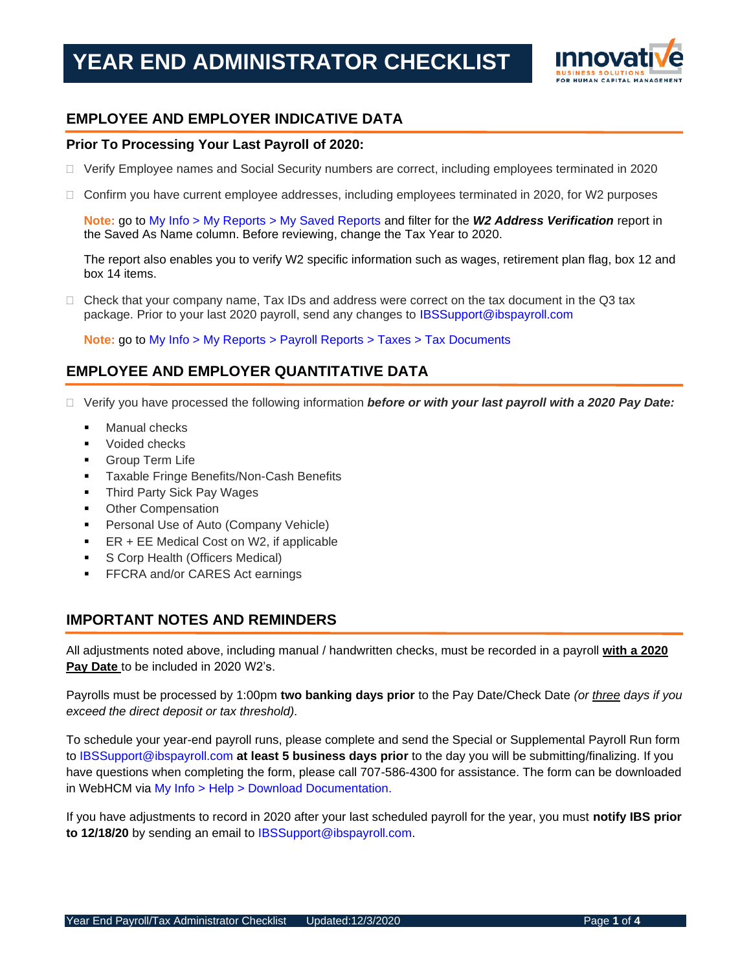

## **EMPLOYEE AND EMPLOYER INDICATIVE DATA**

#### **Prior To Processing Your Last Payroll of 2020:**

- Verify Employee names and Social Security numbers are correct, including employees terminated in 2020
- □ Confirm you have current employee addresses, including employees terminated in 2020, for W2 purposes

**Note:** go to My Info > My Reports > My Saved Reports and filter for the *W2 Address Verification* report in the Saved As Name column. Before reviewing, change the Tax Year to 2020.

The report also enables you to verify W2 specific information such as wages, retirement plan flag, box 12 and box 14 items.

 $\Box$  Check that your company name, Tax IDs and address were correct on the tax document in the Q3 tax package. Prior to your last 2020 payroll, send any changes to [IBSSupport@ibspayroll.com](mailto:IBSSupport@ibspayroll.com)

**Note:** go to My Info > My Reports > Payroll Reports > Taxes > Tax Documents

### **EMPLOYEE AND EMPLOYER QUANTITATIVE DATA**

- □ Verify you have processed the following information *before or with your last payroll with a 2020 Pay Date:* 
	- Manual checks
	- Voided checks
	- **Group Term Life**
	- Taxable Fringe Benefits/Non-Cash Benefits
	- Third Party Sick Pay Wages
	- **Other Compensation**
	- Personal Use of Auto (Company Vehicle)
	- ER + EE Medical Cost on W2, if applicable
	- S Corp Health (Officers Medical)
	- **FFCRA and/or CARES Act earnings**

#### **IMPORTANT NOTES AND REMINDERS**

All adjustments noted above, including manual / handwritten checks, must be recorded in a payroll **with a 2020 Pay Date** to be included in 2020 W2's.

Payrolls must be processed by 1:00pm **two banking days prior** to the Pay Date/Check Date *(or three days if you exceed the direct deposit or tax threshold).*

To schedule your year-end payroll runs, please complete and send the Special or Supplemental Payroll Run form to [IBSSupport@ibspayroll.com](mailto:IBSSupport@ibspayroll.com) **at least 5 business days prior** to the day you will be submitting/finalizing. If you have questions when completing the form, please call 707-586-4300 for assistance. The form can be downloaded in WebHCM via My Info > Help > Download Documentation.

If you have adjustments to record in 2020 after your last scheduled payroll for the year, you must **notify IBS prior to 12/18/20** by sending an email to [IBSSupport@ibspayroll.com.](mailto:IBSSupport@ibspayroll.com)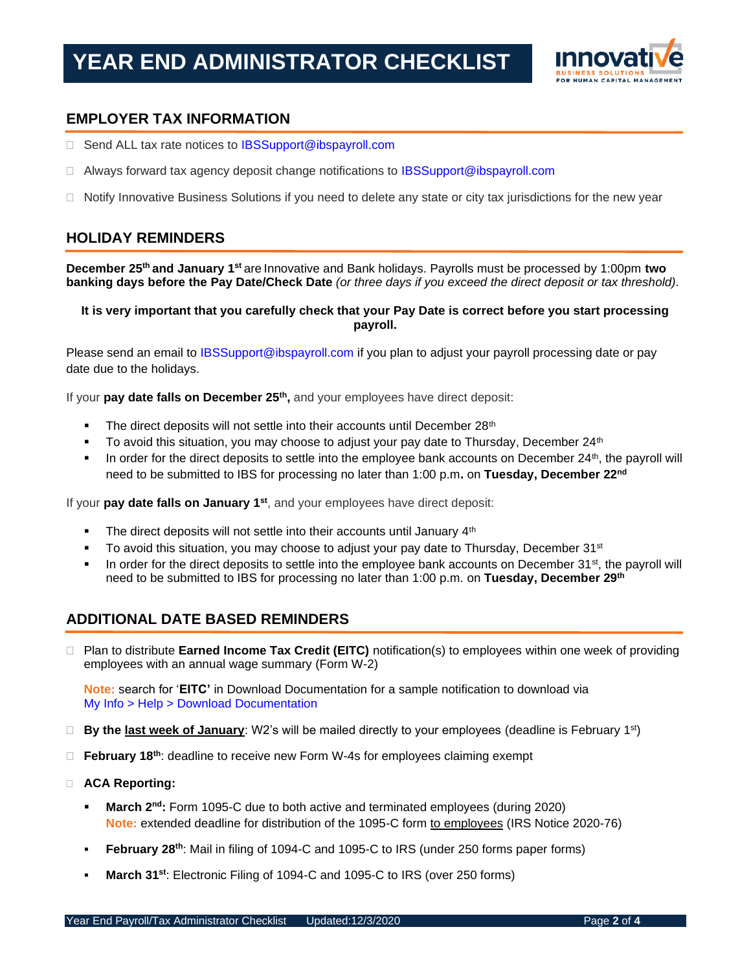

#### **EMPLOYER TAX INFORMATION**

- □ Send ALL tax rate notices to [IBSSupport@ibspayroll.com](mailto:IBSSupport@ibspayroll.com)
- $\Box$  Always forward tax agency deposit change notifications to [IBSSupport@ibspayroll.com](mailto:IBSSupport@ibspayroll.com)
- $\Box$  Notify Innovative Business Solutions if you need to delete any state or city tax jurisdictions for the new year

#### **HOLIDAY REMINDERS**

**December 25th and January 1st** are Innovative and Bank holidays. Payrolls must be processed by 1:00pm **two banking days before the Pay Date/Check Date** *(or three days if you exceed the direct deposit or tax threshold).*

#### **It is very important that you carefully check that your Pay Date is correct before you start processing payroll.**

Please send an email to [IBSSupport@ibspayroll.com](mailto:IBSSupport@ibspayroll.com) if you plan to adjust your payroll processing date or pay date due to the holidays.

If your **pay date falls on December 25th ,** and your employees have direct deposit:

- **•** The direct deposits will not settle into their accounts until December 28<sup>th</sup>
- $\blacksquare$  To avoid this situation, you may choose to adjust your pay date to Thursday, December 24<sup>th</sup>
- In order for the direct deposits to settle into the employee bank accounts on December 24<sup>th</sup>, the payroll will need to be submitted to IBS for processing no later than 1:00 p.m**.** on **Tuesday, December 22nd**

If your **pay date falls on January 1st**, and your employees have direct deposit:

- The direct deposits will not settle into their accounts until January 4<sup>th</sup>
- $\bullet$  To avoid this situation, you may choose to adjust your pay date to Thursday, December 31<sup>st</sup>
- In order for the direct deposits to settle into the employee bank accounts on December  $31<sup>st</sup>$ , the payroll will need to be submitted to IBS for processing no later than 1:00 p.m. on **Tuesday, December 29th**

#### **ADDITIONAL DATE BASED REMINDERS**

 Plan to distribute **Earned Income Tax Credit (EITC)** notification(s) to employees within one week of providing employees with an annual wage summary (Form W-2)

**Note:** search for '**EITC'** in Download Documentation for a sample notification to download via My Info > Help > Download Documentation

- **By the last week of January**: W2's will be mailed directly to your employees (deadline is February 1st)
- **February 18th**: deadline to receive new Form W-4s for employees claiming exempt
- **ACA Reporting:**
	- **March 2<sup>nd</sup>:** Form 1095-C due to both active and terminated employees (during 2020) Note: extended deadline for distribution of the 1095-C form to employees (IRS Notice 2020-76)
	- **February 28th**: Mail in filing of 1094-C and 1095-C to IRS (under 250 forms paper forms)
	- **March 31st**: Electronic Filing of 1094-C and 1095-C to IRS (over 250 forms)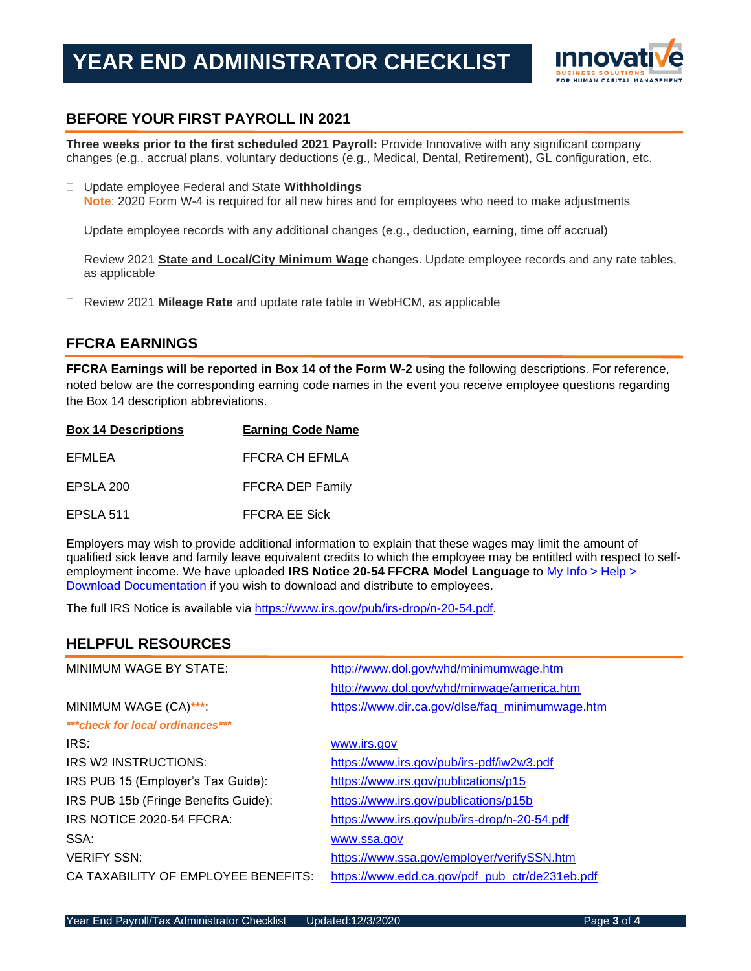## **YEAR END ADMINISTRATOR CHECKLIST**



#### **BEFORE YOUR FIRST PAYROLL IN 2021**

**Three weeks prior to the first scheduled 2021 Payroll:** Provide Innovative with any significant company changes (e.g., accrual plans, voluntary deductions (e.g., Medical, Dental, Retirement), GL configuration, etc.

- Update employee Federal and State **Withholdings Note**: 2020 Form W-4 is required for all new hires and for employees who need to make adjustments
- $\Box$  Update employee records with any additional changes (e.g., deduction, earning, time off accrual)
- Review 2021 **State and Local/City Minimum Wage** changes. Update employee records and any rate tables, as applicable
- Review 2021 **Mileage Rate** and update rate table in WebHCM, as applicable

#### **FFCRA EARNINGS**

**FFCRA Earnings will be reported in Box 14 of the Form W-2** using the following descriptions. For reference, noted below are the corresponding earning code names in the event you receive employee questions regarding the Box 14 description abbreviations.

| <b>Box 14 Descriptions</b> | <b>Earning Code Name</b> |
|----------------------------|--------------------------|
| EFMLEA                     | FFCRA CH EFMLA           |
| EPSLA 200                  | FFCRA DEP Family         |
| EPSLA 511                  | <b>FFCRA EE Sick</b>     |

Employers may wish to provide additional information to explain that these wages may limit the amount of qualified sick leave and family leave equivalent credits to which the employee may be entitled with respect to selfemployment income. We have uploaded **IRS Notice 20-54 FFCRA Model Language** to My Info > Help > Download Documentation if you wish to download and distribute to employees.

The full IRS Notice is available via [https://www.irs.gov/pub/irs-drop/n-20-54.pdf.](https://www.irs.gov/pub/irs-drop/n-20-54.pdf)

#### **HELPFUL RESOURCES**

| MINIMUM WAGE BY STATE:               | http://www.dol.gov/whd/minimumwage.htm          |
|--------------------------------------|-------------------------------------------------|
|                                      | http://www.dol.gov/whd/minwage/america.htm      |
| MINIMUM WAGE (CA)***                 | https://www.dir.ca.gov/dlse/faq_minimumwage.htm |
| *** check for local ordinances***    |                                                 |
| IRS:                                 | www.irs.gov                                     |
| IRS W2 INSTRUCTIONS:                 | https://www.irs.gov/pub/irs-pdf/iw2w3.pdf       |
| IRS PUB 15 (Employer's Tax Guide):   | https://www.irs.gov/publications/p15            |
| IRS PUB 15b (Fringe Benefits Guide): | https://www.irs.gov/publications/p15b           |
| IRS NOTICE 2020-54 FFCRA:            | https://www.irs.gov/pub/irs-drop/n-20-54.pdf    |
| SSA:                                 | www.ssa.gov                                     |
| <b>VERIFY SSN:</b>                   | https://www.ssa.gov/employer/verifySSN.htm      |
| CA TAXABILITY OF EMPLOYEE BENEFITS:  | https://www.edd.ca.gov/pdf pub ctr/de231eb.pdf  |
|                                      |                                                 |